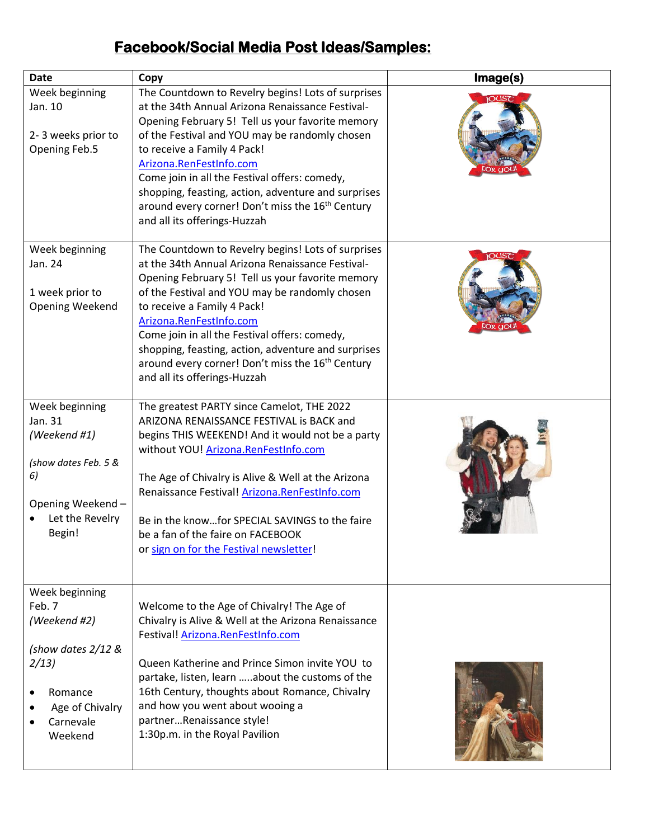## **Facebook/Social Media Post Ideas/Samples:**

| <b>Date</b>                                                                                                                   | Copy                                                                                                                                                                                                                                                                                                                                                                                                                                                                           | Image(s) |
|-------------------------------------------------------------------------------------------------------------------------------|--------------------------------------------------------------------------------------------------------------------------------------------------------------------------------------------------------------------------------------------------------------------------------------------------------------------------------------------------------------------------------------------------------------------------------------------------------------------------------|----------|
| Week beginning<br>Jan. 10<br>2-3 weeks prior to<br>Opening Feb.5                                                              | The Countdown to Revelry begins! Lots of surprises<br>at the 34th Annual Arizona Renaissance Festival-<br>Opening February 5! Tell us your favorite memory<br>of the Festival and YOU may be randomly chosen<br>to receive a Family 4 Pack!<br>Arizona.RenFestInfo.com<br>Come join in all the Festival offers: comedy,<br>shopping, feasting, action, adventure and surprises<br>around every corner! Don't miss the 16 <sup>th</sup> Century<br>and all its offerings-Huzzah |          |
| Week beginning<br>Jan. 24<br>1 week prior to<br><b>Opening Weekend</b>                                                        | The Countdown to Revelry begins! Lots of surprises<br>at the 34th Annual Arizona Renaissance Festival-<br>Opening February 5! Tell us your favorite memory<br>of the Festival and YOU may be randomly chosen<br>to receive a Family 4 Pack!<br>Arizona.RenFestInfo.com<br>Come join in all the Festival offers: comedy,<br>shopping, feasting, action, adventure and surprises<br>around every corner! Don't miss the 16 <sup>th</sup> Century<br>and all its offerings-Huzzah |          |
| Week beginning<br>Jan. 31<br>(Weekend #1)<br>(show dates Feb. 5 &<br>6)<br>Opening Weekend -<br>Let the Revelry<br>Begin!     | The greatest PARTY since Camelot, THE 2022<br>ARIZONA RENAISSANCE FESTIVAL is BACK and<br>begins THIS WEEKEND! And it would not be a party<br>without YOU! Arizona.RenFestInfo.com<br>The Age of Chivalry is Alive & Well at the Arizona<br>Renaissance Festival! Arizona.RenFestInfo.com<br>Be in the knowfor SPECIAL SAVINGS to the faire<br>be a fan of the faire on FACEBOOK<br>or sign on for the Festival newsletter!                                                    |          |
| Week beginning<br>Feb. 7<br>(Weekend #2)<br>(show dates 2/12 &<br>2/13)<br>Romance<br>Age of Chivalry<br>Carnevale<br>Weekend | Welcome to the Age of Chivalry! The Age of<br>Chivalry is Alive & Well at the Arizona Renaissance<br>Festival! Arizona.RenFestInfo.com<br>Queen Katherine and Prince Simon invite YOU to<br>partake, listen, learn about the customs of the<br>16th Century, thoughts about Romance, Chivalry<br>and how you went about wooing a<br>partnerRenaissance style!<br>1:30p.m. in the Royal Pavilion                                                                                |          |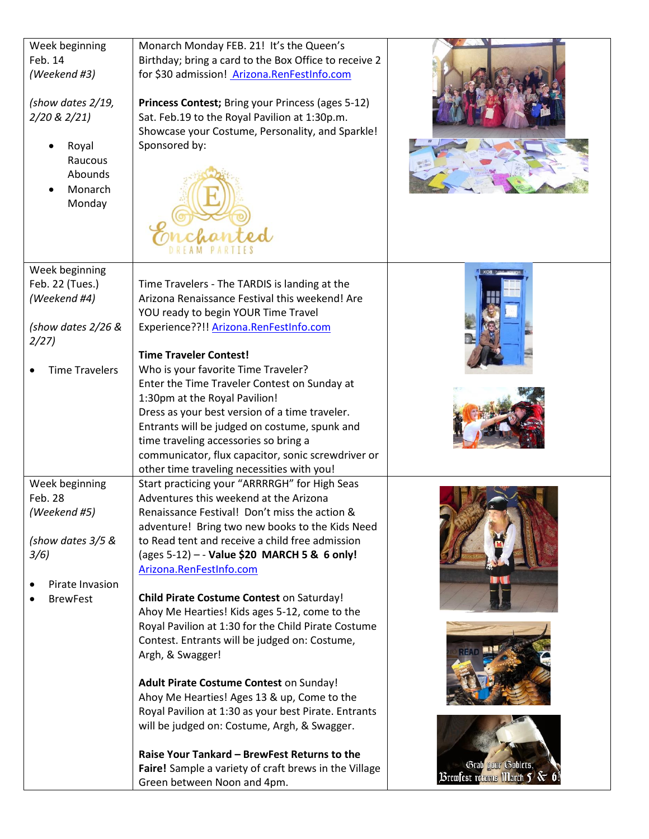| Week beginning<br>Feb. 14<br>(Weekend #3)<br>(show dates 2/19,<br>2/20 & 2/21)<br>Royal<br>Raucous<br>Abounds<br>Monarch<br>Monday | Monarch Monday FEB. 21! It's the Queen's<br>Birthday; bring a card to the Box Office to receive 2<br>for \$30 admission! Arizona.RenFestInfo.com<br>Princess Contest; Bring your Princess (ages 5-12)<br>Sat. Feb.19 to the Royal Pavilion at 1:30p.m.<br>Showcase your Costume, Personality, and Sparkle!<br>Sponsored by:                                          |                                                                 |
|------------------------------------------------------------------------------------------------------------------------------------|----------------------------------------------------------------------------------------------------------------------------------------------------------------------------------------------------------------------------------------------------------------------------------------------------------------------------------------------------------------------|-----------------------------------------------------------------|
| Week beginning                                                                                                                     |                                                                                                                                                                                                                                                                                                                                                                      |                                                                 |
| Feb. 22 (Tues.)<br>(Weekend #4)<br>(show dates 2/26 &<br>2/27                                                                      | Time Travelers - The TARDIS is landing at the<br>Arizona Renaissance Festival this weekend! Are<br>YOU ready to begin YOUR Time Travel<br>Experience??!! Arizona.RenFestInfo.com                                                                                                                                                                                     |                                                                 |
|                                                                                                                                    | <b>Time Traveler Contest!</b>                                                                                                                                                                                                                                                                                                                                        |                                                                 |
| <b>Time Travelers</b>                                                                                                              | Who is your favorite Time Traveler?<br>Enter the Time Traveler Contest on Sunday at<br>1:30pm at the Royal Pavilion!<br>Dress as your best version of a time traveler.<br>Entrants will be judged on costume, spunk and<br>time traveling accessories so bring a<br>communicator, flux capacitor, sonic screwdriver or<br>other time traveling necessities with you! |                                                                 |
| Week beginning                                                                                                                     | Start practicing your "ARRRRGH" for High Seas                                                                                                                                                                                                                                                                                                                        |                                                                 |
| Feb. 28<br>(Weekend #5)<br>(show dates 3/5 &<br>3/6)<br>Pirate Invasion                                                            | Adventures this weekend at the Arizona<br>Renaissance Festival! Don't miss the action &<br>adventure! Bring two new books to the Kids Need<br>to Read tent and receive a child free admission<br>(ages 5-12) - - Value \$20 MARCH 5 & 6 only!<br>Arizona.RenFestInfo.com                                                                                             |                                                                 |
| <b>BrewFest</b>                                                                                                                    | Child Pirate Costume Contest on Saturday!                                                                                                                                                                                                                                                                                                                            |                                                                 |
|                                                                                                                                    | Ahoy Me Hearties! Kids ages 5-12, come to the<br>Royal Pavilion at 1:30 for the Child Pirate Costume<br>Contest. Entrants will be judged on: Costume,<br>Argh, & Swagger!                                                                                                                                                                                            |                                                                 |
|                                                                                                                                    | <b>Adult Pirate Costume Contest on Sunday!</b><br>Ahoy Me Hearties! Ages 13 & up, Come to the<br>Royal Pavilion at 1:30 as your best Pirate. Entrants                                                                                                                                                                                                                |                                                                 |
|                                                                                                                                    | will be judged on: Costume, Argh, & Swagger.                                                                                                                                                                                                                                                                                                                         |                                                                 |
|                                                                                                                                    | Raise Your Tankard - BrewFest Returns to the<br>Faire! Sample a variety of craft brews in the Village<br>Green between Noon and 4pm.                                                                                                                                                                                                                                 | Grab your Goblets,<br>Brewfest returns March $5/\sqrt[8]{5}$ 6! |
|                                                                                                                                    |                                                                                                                                                                                                                                                                                                                                                                      |                                                                 |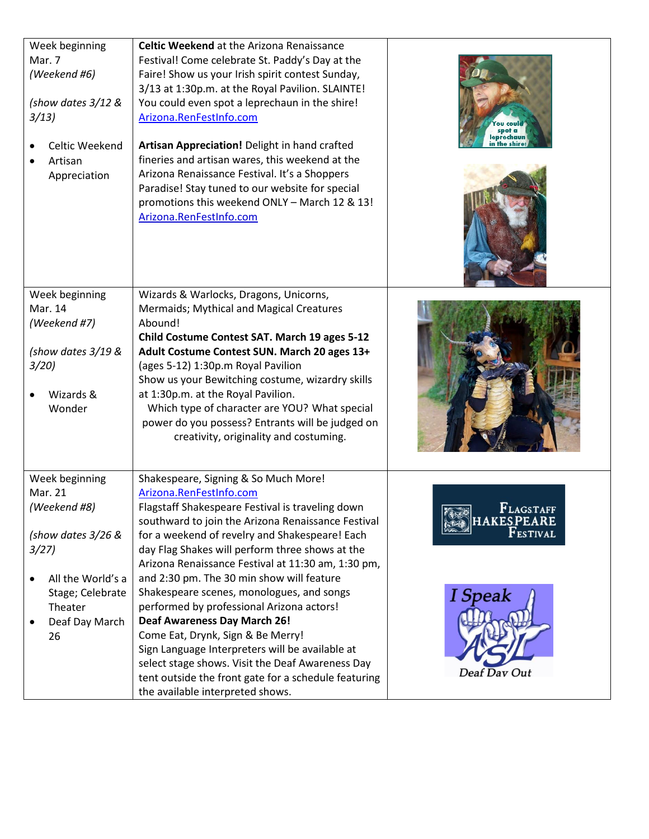| Week beginning<br>Mar. 7<br>(Weekend #6)<br>(show dates 3/12 &<br>3/13)<br>Celtic Weekend<br>Artisan<br>Appreciation                                 | <b>Celtic Weekend at the Arizona Renaissance</b><br>Festival! Come celebrate St. Paddy's Day at the<br>Faire! Show us your Irish spirit contest Sunday,<br>3/13 at 1:30p.m. at the Royal Pavilion. SLAINTE!<br>You could even spot a leprechaun in the shire!<br>Arizona.RenFestInfo.com<br>Artisan Appreciation! Delight in hand crafted<br>fineries and artisan wares, this weekend at the<br>Arizona Renaissance Festival. It's a Shoppers<br>Paradise! Stay tuned to our website for special<br>promotions this weekend ONLY - March 12 & 13!<br>Arizona.RenFestInfo.com                                                                                                                                                                               | spot a<br>leprechaun                                                                        |
|------------------------------------------------------------------------------------------------------------------------------------------------------|------------------------------------------------------------------------------------------------------------------------------------------------------------------------------------------------------------------------------------------------------------------------------------------------------------------------------------------------------------------------------------------------------------------------------------------------------------------------------------------------------------------------------------------------------------------------------------------------------------------------------------------------------------------------------------------------------------------------------------------------------------|---------------------------------------------------------------------------------------------|
| Week beginning<br>Mar. 14<br>(Weekend #7)<br>(show dates 3/19 &<br>3/20<br>Wizards &<br>Wonder                                                       | Wizards & Warlocks, Dragons, Unicorns,<br>Mermaids; Mythical and Magical Creatures<br>Abound!<br>Child Costume Contest SAT. March 19 ages 5-12<br>Adult Costume Contest SUN. March 20 ages 13+<br>(ages 5-12) 1:30p.m Royal Pavilion<br>Show us your Bewitching costume, wizardry skills<br>at 1:30p.m. at the Royal Pavilion.<br>Which type of character are YOU? What special<br>power do you possess? Entrants will be judged on<br>creativity, originality and costuming.                                                                                                                                                                                                                                                                              |                                                                                             |
| Week beginning<br>Mar. 21<br>(Weekend #8)<br>(show dates 3/26 &<br>3/27)<br>All the World's a<br>Stage; Celebrate<br>Theater<br>Deaf Day March<br>26 | Shakespeare, Signing & So Much More!<br>Arizona.RenFestInfo.com<br>Flagstaff Shakespeare Festival is traveling down<br>southward to join the Arizona Renaissance Festival<br>for a weekend of revelry and Shakespeare! Each<br>day Flag Shakes will perform three shows at the<br>Arizona Renaissance Festival at 11:30 am, 1:30 pm,<br>and 2:30 pm. The 30 min show will feature<br>Shakespeare scenes, monologues, and songs<br>performed by professional Arizona actors!<br><b>Deaf Awareness Day March 26!</b><br>Come Eat, Drynk, Sign & Be Merry!<br>Sign Language Interpreters will be available at<br>select stage shows. Visit the Deaf Awareness Day<br>tent outside the front gate for a schedule featuring<br>the available interpreted shows. | ${\bf F}_{\rm LAGSTAFF}$<br>HAKESPEARE<br><b>FESTIVAL</b><br>I Speak<br><i>Deaf Day Out</i> |